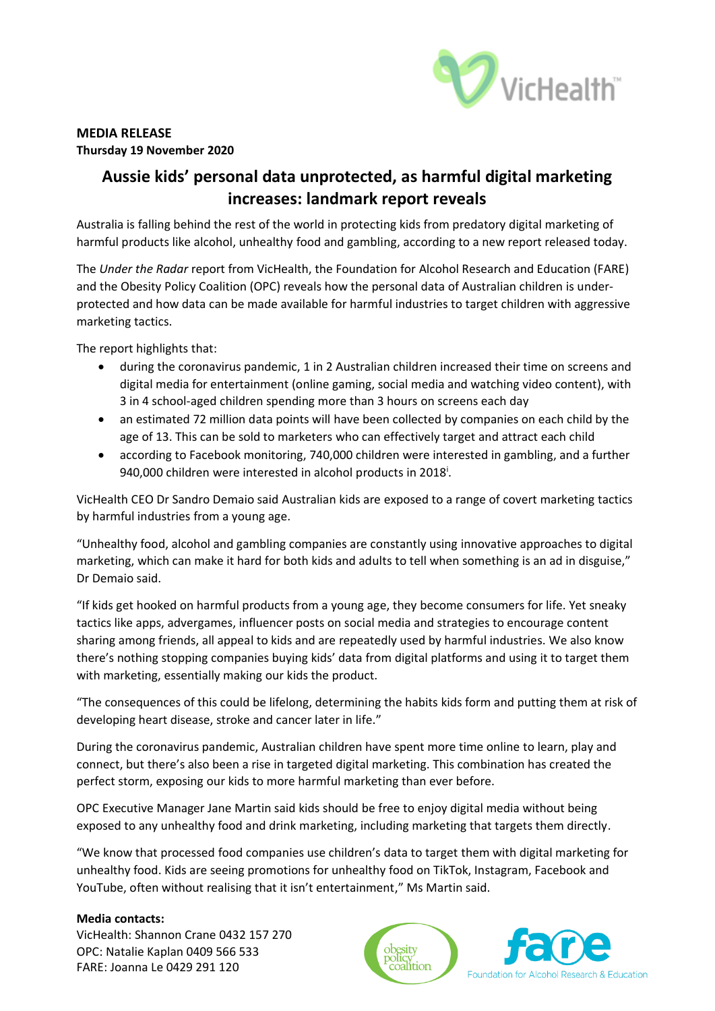

# **MEDIA RELEASE Thursday 19 November 2020**

# **Aussie kids' personal data unprotected, as harmful digital marketing increases: landmark report reveals**

Australia is falling behind the rest of the world in protecting kids from predatory digital marketing of harmful products like alcohol, unhealthy food and gambling, according to a new report released today.

The *Under the Radar* report from VicHealth, the Foundation for Alcohol Research and Education (FARE) and the Obesity Policy Coalition (OPC) reveals how the personal data of Australian children is underprotected and how data can be made available for harmful industries to target children with aggressive marketing tactics.

The report highlights that:

- during the coronavirus pandemic, 1 in 2 Australian children increased their time on screens and digital media for entertainment (online gaming, social media and watching video content), with 3 in 4 school-aged children spending more than 3 hours on screens each day
- an estimated 72 million data points will have been collected by companies on each child by the age of 13. This can be sold to marketers who can effectively target and attract each child
- according to Facebook monitoring, 740,000 children were interested in gambling, and a further 940,000 children were interested in alcohol products in 2018<sup>i</sup>.

VicHealth CEO Dr Sandro Demaio said Australian kids are exposed to a range of covert marketing tactics by harmful industries from a young age.

"Unhealthy food, alcohol and gambling companies are constantly using innovative approaches to digital marketing, which can make it hard for both kids and adults to tell when something is an ad in disguise," Dr Demaio said.

"If kids get hooked on harmful products from a young age, they become consumers for life. Yet sneaky tactics like apps, advergames, influencer posts on social media and strategies to encourage content sharing among friends, all appeal to kids and are repeatedly used by harmful industries. We also know there's nothing stopping companies buying kids' data from digital platforms and using it to target them with marketing, essentially making our kids the product.

"The consequences of this could be lifelong, determining the habits kids form and putting them at risk of developing heart disease, stroke and cancer later in life."

During the coronavirus pandemic, Australian children have spent more time online to learn, play and connect, but there's also been a rise in targeted digital marketing. This combination has created the perfect storm, exposing our kids to more harmful marketing than ever before.

OPC Executive Manager Jane Martin said kids should be free to enjoy digital media without being exposed to any unhealthy food and drink marketing, including marketing that targets them directly.

"We know that processed food companies use children's data to target them with digital marketing for unhealthy food. Kids are seeing promotions for unhealthy food on TikTok, Instagram, Facebook and YouTube, often without realising that it isn't entertainment," Ms Martin said.

### **Media contacts:**

VicHealth: Shannon Crane 0432 157 270 OPC: Natalie Kaplan 0409 566 533 FARE: Joanna Le 0429 291 120



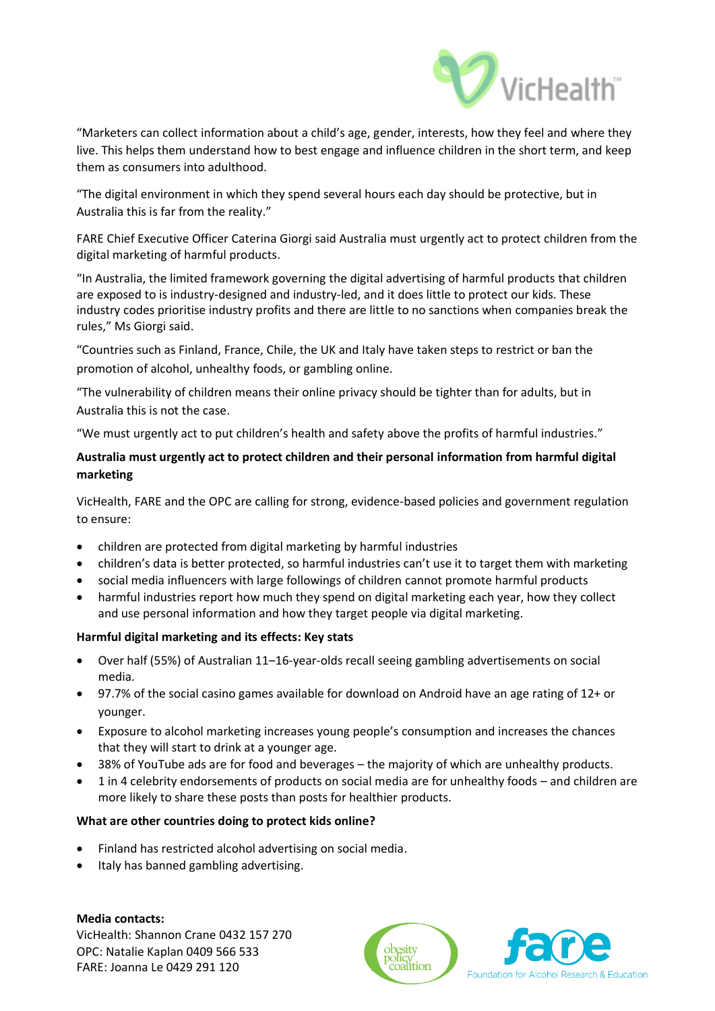

"Marketers can collect information about a child's age, gender, interests, how they feel and where they live. This helps them understand how to best engage and influence children in the short term, and keep them as consumers into adulthood.

"The digital environment in which they spend several hours each day should be protective, but in Australia this is far from the reality."

FARE Chief Executive Officer Caterina Giorgi said Australia must urgently act to protect children from the digital marketing of harmful products.

"In Australia, the limited framework governing the digital advertising of harmful products that children are exposed to is industry-designed and industry-led, and it does little to protect our kids. These industry codes prioritise industry profits and there are little to no sanctions when companies break the rules," Ms Giorgi said.

"Countries such as Finland, France, Chile, the UK and Italy have taken steps to restrict or ban the promotion of alcohol, unhealthy foods, or gambling online.

"The vulnerability of children means their online privacy should be tighter than for adults, but in Australia this is not the case.

"We must urgently act to put children's health and safety above the profits of harmful industries."

## **Australia must urgently act to protect children and their personal information from harmful digital marketing**

VicHealth, FARE and the OPC are calling for strong, evidence-based policies and government regulation to ensure:

- children are protected from digital marketing by harmful industries
- children's data is better protected, so harmful industries can't use it to target them with marketing
- social media influencers with large followings of children cannot promote harmful products
- harmful industries report how much they spend on digital marketing each year, how they collect and use personal information and how they target people via digital marketing.

### **Harmful digital marketing and its effects: Key stats**

- Over half (55%) of Australian 11–16-year-olds recall seeing gambling advertisements on social media.
- 97.7% of the social casino games available for download on Android have an age rating of 12+ or younger.
- Exposure to alcohol marketing increases young people's consumption and increases the chances that they will start to drink at a younger age.
- 38% of YouTube ads are for food and beverages the majority of which are unhealthy products.
- 1 in 4 celebrity endorsements of products on social media are for unhealthy foods and children are more likely to share these posts than posts for healthier products.

### **What are other countries doing to protect kids online?**

- Finland has restricted alcohol advertising on social media.
- Italy has banned gambling advertising.

#### **Media contacts:**

VicHealth: Shannon Crane 0432 157 270 OPC: Natalie Kaplan 0409 566 533 FARE: Joanna Le 0429 291 120